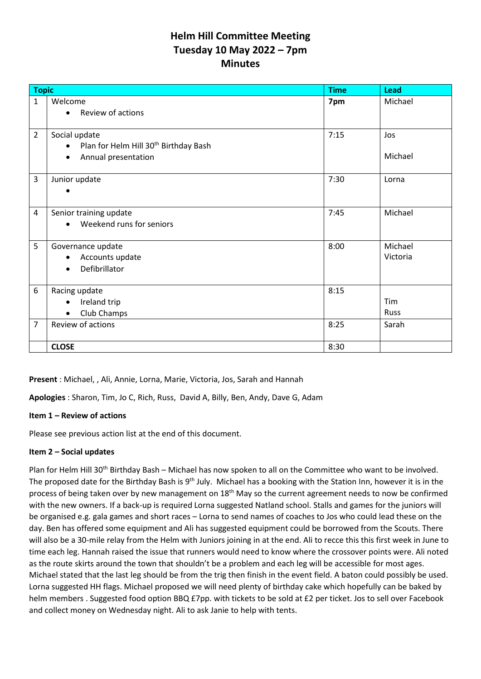# **Helm Hill Committee Meeting Tuesday 10 May 2022 – 7pm Minutes**

| <b>Topic</b>   |                                                                                                                     | <b>Time</b> | <b>Lead</b>         |
|----------------|---------------------------------------------------------------------------------------------------------------------|-------------|---------------------|
| 1              | Welcome<br>Review of actions<br>$\bullet$                                                                           | 7pm         | Michael             |
| $\overline{2}$ | Social update<br>Plan for Helm Hill 30 <sup>th</sup> Birthday Bash<br>$\bullet$<br>Annual presentation<br>$\bullet$ | 7:15        | Jos<br>Michael      |
| 3              | Junior update                                                                                                       | 7:30        | Lorna               |
| 4              | Senior training update<br>Weekend runs for seniors                                                                  | 7:45        | Michael             |
| 5              | Governance update<br>Accounts update<br>$\bullet$<br>Defibrillator<br>$\bullet$                                     | 8:00        | Michael<br>Victoria |
| 6              | Racing update<br>Ireland trip<br>$\bullet$<br>Club Champs<br>$\bullet$                                              | 8:15        | Tim<br>Russ         |
| 7              | Review of actions                                                                                                   | 8:25        | Sarah               |
|                | <b>CLOSE</b>                                                                                                        | 8:30        |                     |

**Present** : Michael, , Ali, Annie, Lorna, Marie, Victoria, Jos, Sarah and Hannah

**Apologies** : Sharon, Tim, Jo C, Rich, Russ, David A, Billy, Ben, Andy, Dave G, Adam

#### **Item 1 – Review of actions**

Please see previous action list at the end of this document.

#### **Item 2 – Social updates**

Plan for Helm Hill 30<sup>th</sup> Birthday Bash – Michael has now spoken to all on the Committee who want to be involved. The proposed date for the Birthday Bash is 9<sup>th</sup> July. Michael has a booking with the Station Inn, however it is in the process of being taken over by new management on 18<sup>th</sup> May so the current agreement needs to now be confirmed with the new owners. If a back-up is required Lorna suggested Natland school. Stalls and games for the juniors will be organised e.g. gala games and short races – Lorna to send names of coaches to Jos who could lead these on the day. Ben has offered some equipment and Ali has suggested equipment could be borrowed from the Scouts. There will also be a 30-mile relay from the Helm with Juniors joining in at the end. Ali to recce this this first week in June to time each leg. Hannah raised the issue that runners would need to know where the crossover points were. Ali noted as the route skirts around the town that shouldn't be a problem and each leg will be accessible for most ages. Michael stated that the last leg should be from the trig then finish in the event field. A baton could possibly be used. Lorna suggested HH flags. Michael proposed we will need plenty of birthday cake which hopefully can be baked by helm members . Suggested food option BBQ £7pp. with tickets to be sold at £2 per ticket. Jos to sell over Facebook and collect money on Wednesday night. Ali to ask Janie to help with tents.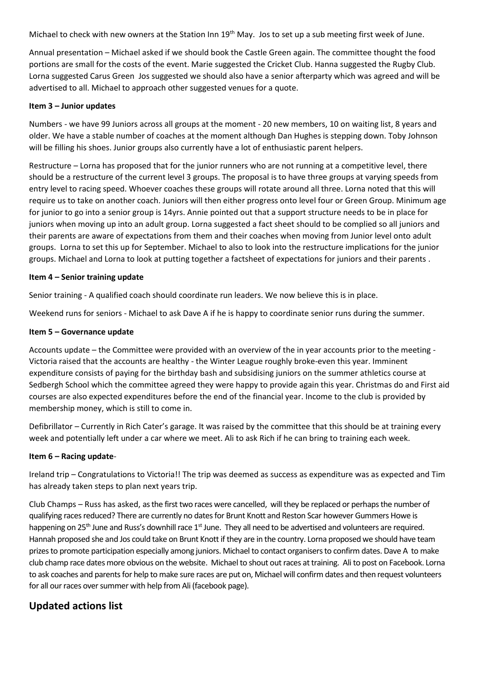Michael to check with new owners at the Station Inn 19<sup>th</sup> May. Jos to set up a sub meeting first week of June.

Annual presentation – Michael asked if we should book the Castle Green again. The committee thought the food portions are small for the costs of the event. Marie suggested the Cricket Club. Hanna suggested the Rugby Club. Lorna suggested Carus Green Jos suggested we should also have a senior afterparty which was agreed and will be advertised to all. Michael to approach other suggested venues for a quote.

#### **Item 3 – Junior updates**

Numbers - we have 99 Juniors across all groups at the moment - 20 new members, 10 on waiting list, 8 years and older. We have a stable number of coaches at the moment although Dan Hughes is stepping down. Toby Johnson will be filling his shoes. Junior groups also currently have a lot of enthusiastic parent helpers.

Restructure – Lorna has proposed that for the junior runners who are not running at a competitive level, there should be a restructure of the current level 3 groups. The proposal is to have three groups at varying speeds from entry level to racing speed. Whoever coaches these groups will rotate around all three. Lorna noted that this will require us to take on another coach. Juniors will then either progress onto level four or Green Group. Minimum age for junior to go into a senior group is 14yrs. Annie pointed out that a support structure needs to be in place for juniors when moving up into an adult group. Lorna suggested a fact sheet should to be complied so all juniors and their parents are aware of expectations from them and their coaches when moving from Junior level onto adult groups. Lorna to set this up for September. Michael to also to look into the restructure implications for the junior groups. Michael and Lorna to look at putting together a factsheet of expectations for juniors and their parents .

#### **Item 4 – Senior training update**

Senior training - A qualified coach should coordinate run leaders. We now believe this is in place.

Weekend runs for seniors - Michael to ask Dave A if he is happy to coordinate senior runs during the summer.

#### **Item 5 – Governance update**

Accounts update – the Committee were provided with an overview of the in year accounts prior to the meeting - Victoria raised that the accounts are healthy - the Winter League roughly broke-even this year. Imminent expenditure consists of paying for the birthday bash and subsidising juniors on the summer athletics course at Sedbergh School which the committee agreed they were happy to provide again this year. Christmas do and First aid courses are also expected expenditures before the end of the financial year. Income to the club is provided by membership money, which is still to come in.

Defibrillator – Currently in Rich Cater's garage. It was raised by the committee that this should be at training every week and potentially left under a car where we meet. Ali to ask Rich if he can bring to training each week.

#### **Item 6 – Racing update**-

Ireland trip – Congratulations to Victoria!! The trip was deemed as success as expenditure was as expected and Tim has already taken steps to plan next years trip.

Club Champs – Russ has asked, as the first two races were cancelled, will they be replaced or perhaps the number of qualifying races reduced? There are currently no dates for Brunt Knott and Reston Scar however Gummers Howe is happening on 25<sup>th</sup> June and Russ's downhill race  $1<sup>st</sup>$  June. They all need to be advertised and volunteers are required. Hannah proposed she and Jos could take on Brunt Knott if they are in the country. Lorna proposed we should have team prizes to promote participation especially among juniors. Michael to contact organisers to confirm dates. Dave A to make club champ race dates more obvious on the website. Michael to shout out races at training. Ali to post on Facebook. Lorna to ask coaches and parents for help to make sure races are put on, Michael will confirm dates and then request volunteers for all our races over summer with help from Ali (facebook page).

## **Updated actions list**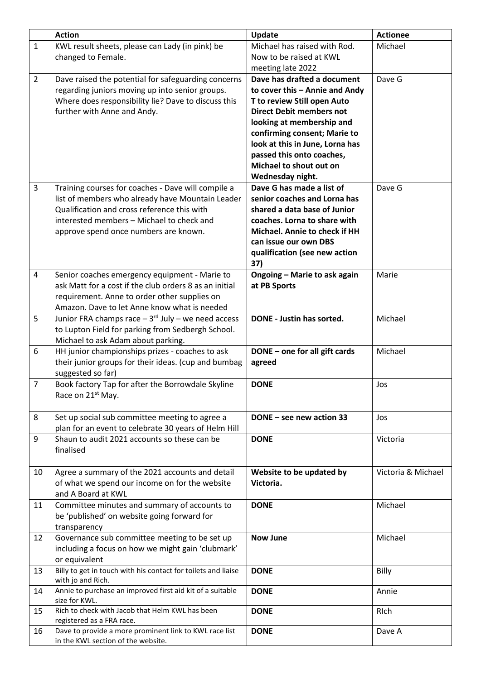|                | <b>Action</b>                                                                                | <b>Update</b>                   | <b>Actionee</b>    |
|----------------|----------------------------------------------------------------------------------------------|---------------------------------|--------------------|
| $\mathbf{1}$   | KWL result sheets, please can Lady (in pink) be                                              | Michael has raised with Rod.    | Michael            |
|                | changed to Female.                                                                           | Now to be raised at KWL         |                    |
|                |                                                                                              | meeting late 2022               |                    |
| $\overline{2}$ | Dave raised the potential for safeguarding concerns                                          | Dave has drafted a document     | Dave G             |
|                | regarding juniors moving up into senior groups.                                              | to cover this - Annie and Andy  |                    |
|                | Where does responsibility lie? Dave to discuss this                                          | T to review Still open Auto     |                    |
|                | further with Anne and Andy.                                                                  | <b>Direct Debit members not</b> |                    |
|                |                                                                                              | looking at membership and       |                    |
|                |                                                                                              | confirming consent; Marie to    |                    |
|                |                                                                                              | look at this in June, Lorna has |                    |
|                |                                                                                              | passed this onto coaches,       |                    |
|                |                                                                                              | Michael to shout out on         |                    |
|                |                                                                                              | Wednesday night.                |                    |
| 3              | Training courses for coaches - Dave will compile a                                           | Dave G has made a list of       | Dave G             |
|                | list of members who already have Mountain Leader                                             | senior coaches and Lorna has    |                    |
|                | Qualification and cross reference this with                                                  | shared a data base of Junior    |                    |
|                | interested members - Michael to check and                                                    | coaches. Lorna to share with    |                    |
|                | approve spend once numbers are known.                                                        | Michael. Annie to check if HH   |                    |
|                |                                                                                              | can issue our own DBS           |                    |
|                |                                                                                              | qualification (see new action   |                    |
|                |                                                                                              | 37)                             |                    |
| 4              | Senior coaches emergency equipment - Marie to                                                | Ongoing - Marie to ask again    | Marie              |
|                | ask Matt for a cost if the club orders 8 as an initial                                       | at PB Sports                    |                    |
|                | requirement. Anne to order other supplies on                                                 |                                 |                    |
|                | Amazon. Dave to let Anne know what is needed                                                 |                                 |                    |
| 5              | Junior FRA champs race $-3$ <sup>rd</sup> July – we need access                              | DONE - Justin has sorted.       | Michael            |
|                | to Lupton Field for parking from Sedbergh School.                                            |                                 |                    |
|                | Michael to ask Adam about parking.                                                           |                                 |                    |
| 6              | HH junior championships prizes - coaches to ask                                              | DONE - one for all gift cards   | Michael            |
|                | their junior groups for their ideas. (cup and bumbag                                         | agreed                          |                    |
|                | suggested so far)                                                                            |                                 |                    |
| $\overline{7}$ | Book factory Tap for after the Borrowdale Skyline                                            | <b>DONE</b>                     | Jos                |
|                | Race on 21 <sup>st</sup> May.                                                                |                                 |                    |
|                |                                                                                              |                                 |                    |
| 8              | Set up social sub committee meeting to agree a                                               | DONE - see new action 33        | Jos                |
|                | plan for an event to celebrate 30 years of Helm Hill                                         |                                 |                    |
| 9              | Shaun to audit 2021 accounts so these can be                                                 | <b>DONE</b>                     | Victoria           |
|                | finalised                                                                                    |                                 |                    |
|                |                                                                                              |                                 |                    |
| 10             | Agree a summary of the 2021 accounts and detail                                              | Website to be updated by        | Victoria & Michael |
|                | of what we spend our income on for the website                                               | Victoria.                       |                    |
|                | and A Board at KWL                                                                           |                                 |                    |
| 11             | Committee minutes and summary of accounts to                                                 | <b>DONE</b>                     | Michael            |
|                | be 'published' on website going forward for                                                  |                                 |                    |
|                | transparency                                                                                 |                                 |                    |
| 12             | Governance sub committee meeting to be set up                                                | <b>Now June</b>                 | Michael            |
|                | including a focus on how we might gain 'clubmark'                                            |                                 |                    |
|                | or equivalent                                                                                |                                 |                    |
| 13             | Billy to get in touch with his contact for toilets and liaise                                | <b>DONE</b>                     | Billy              |
|                | with jo and Rich.                                                                            |                                 |                    |
| 14             | Annie to purchase an improved first aid kit of a suitable                                    | <b>DONE</b>                     | Annie              |
|                | size for KWL.                                                                                |                                 |                    |
| 15             | Rich to check with Jacob that Helm KWL has been                                              | <b>DONE</b>                     | RIch               |
|                | registered as a FRA race.                                                                    |                                 |                    |
| 16             | Dave to provide a more prominent link to KWL race list<br>in the KWL section of the website. | <b>DONE</b>                     | Dave A             |
|                |                                                                                              |                                 |                    |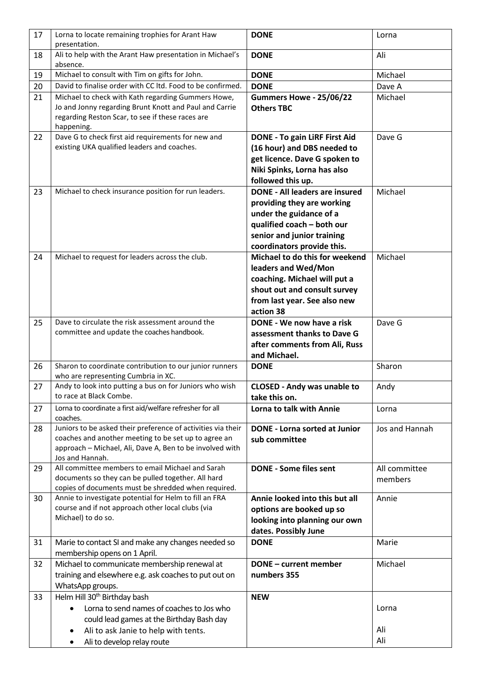| 17 | Lorna to locate remaining trophies for Arant Haw<br>presentation.                                                                                                                                   | <b>DONE</b>                                                                                                                                                                              | Lorna                    |
|----|-----------------------------------------------------------------------------------------------------------------------------------------------------------------------------------------------------|------------------------------------------------------------------------------------------------------------------------------------------------------------------------------------------|--------------------------|
| 18 | Ali to help with the Arant Haw presentation in Michael's<br>absence.                                                                                                                                | <b>DONE</b>                                                                                                                                                                              | Ali                      |
| 19 | Michael to consult with Tim on gifts for John.                                                                                                                                                      | <b>DONE</b>                                                                                                                                                                              | Michael                  |
| 20 | David to finalise order with CC ltd. Food to be confirmed.                                                                                                                                          | <b>DONE</b>                                                                                                                                                                              | Dave A                   |
| 21 | Michael to check with Kath regarding Gummers Howe,<br>Jo and Jonny regarding Brunt Knott and Paul and Carrie<br>regarding Reston Scar, to see if these races are<br>happening.                      | Gummers Howe - 25/06/22<br><b>Others TBC</b>                                                                                                                                             | Michael                  |
| 22 | Dave G to check first aid requirements for new and<br>existing UKA qualified leaders and coaches.                                                                                                   | <b>DONE - To gain LiRF First Aid</b><br>(16 hour) and DBS needed to<br>get licence. Dave G spoken to<br>Niki Spinks, Lorna has also<br>followed this up.                                 | Dave G                   |
| 23 | Michael to check insurance position for run leaders.                                                                                                                                                | <b>DONE - All leaders are insured</b><br>providing they are working<br>under the guidance of a<br>qualified coach - both our<br>senior and junior training<br>coordinators provide this. | Michael                  |
| 24 | Michael to request for leaders across the club.                                                                                                                                                     | Michael to do this for weekend<br>leaders and Wed/Mon<br>coaching. Michael will put a<br>shout out and consult survey<br>from last year. See also new<br>action 38                       | Michael                  |
| 25 | Dave to circulate the risk assessment around the<br>committee and update the coaches handbook.                                                                                                      | DONE - We now have a risk<br>assessment thanks to Dave G<br>after comments from Ali, Russ<br>and Michael.                                                                                | Dave G                   |
| 26 | Sharon to coordinate contribution to our junior runners<br>who are representing Cumbria in XC.                                                                                                      | <b>DONE</b>                                                                                                                                                                              | Sharon                   |
| 27 | Andy to look into putting a bus on for Juniors who wish<br>to race at Black Combe.                                                                                                                  | <b>CLOSED - Andy was unable to</b><br>take this on.                                                                                                                                      | Andy                     |
| 27 | Lorna to coordinate a first aid/welfare refresher for all<br>coaches.                                                                                                                               | Lorna to talk with Annie                                                                                                                                                                 | Lorna                    |
| 28 | Juniors to be asked their preference of activities via their<br>coaches and another meeting to be set up to agree an<br>approach - Michael, Ali, Dave A, Ben to be involved with<br>Jos and Hannah. | <b>DONE - Lorna sorted at Junior</b><br>sub committee                                                                                                                                    | Jos and Hannah           |
| 29 | All committee members to email Michael and Sarah<br>documents so they can be pulled together. All hard<br>copies of documents must be shredded when required.                                       | <b>DONE - Some files sent</b>                                                                                                                                                            | All committee<br>members |
| 30 | Annie to investigate potential for Helm to fill an FRA<br>course and if not approach other local clubs (via<br>Michael) to do so.                                                                   | Annie looked into this but all<br>options are booked up so<br>looking into planning our own<br>dates. Possibly June                                                                      | Annie                    |
| 31 | Marie to contact SI and make any changes needed so<br>membership opens on 1 April.                                                                                                                  | <b>DONE</b>                                                                                                                                                                              | Marie                    |
| 32 | Michael to communicate membership renewal at<br>training and elsewhere e.g. ask coaches to put out on<br>WhatsApp groups.                                                                           | <b>DONE - current member</b><br>numbers 355                                                                                                                                              | Michael                  |
| 33 | Helm Hill 30 <sup>th</sup> Birthday bash<br>Lorna to send names of coaches to Jos who<br>could lead games at the Birthday Bash day                                                                  | <b>NEW</b>                                                                                                                                                                               | Lorna<br>Ali             |
|    | Ali to ask Janie to help with tents.<br>٠<br>Ali to develop relay route<br>٠                                                                                                                        |                                                                                                                                                                                          | Ali                      |